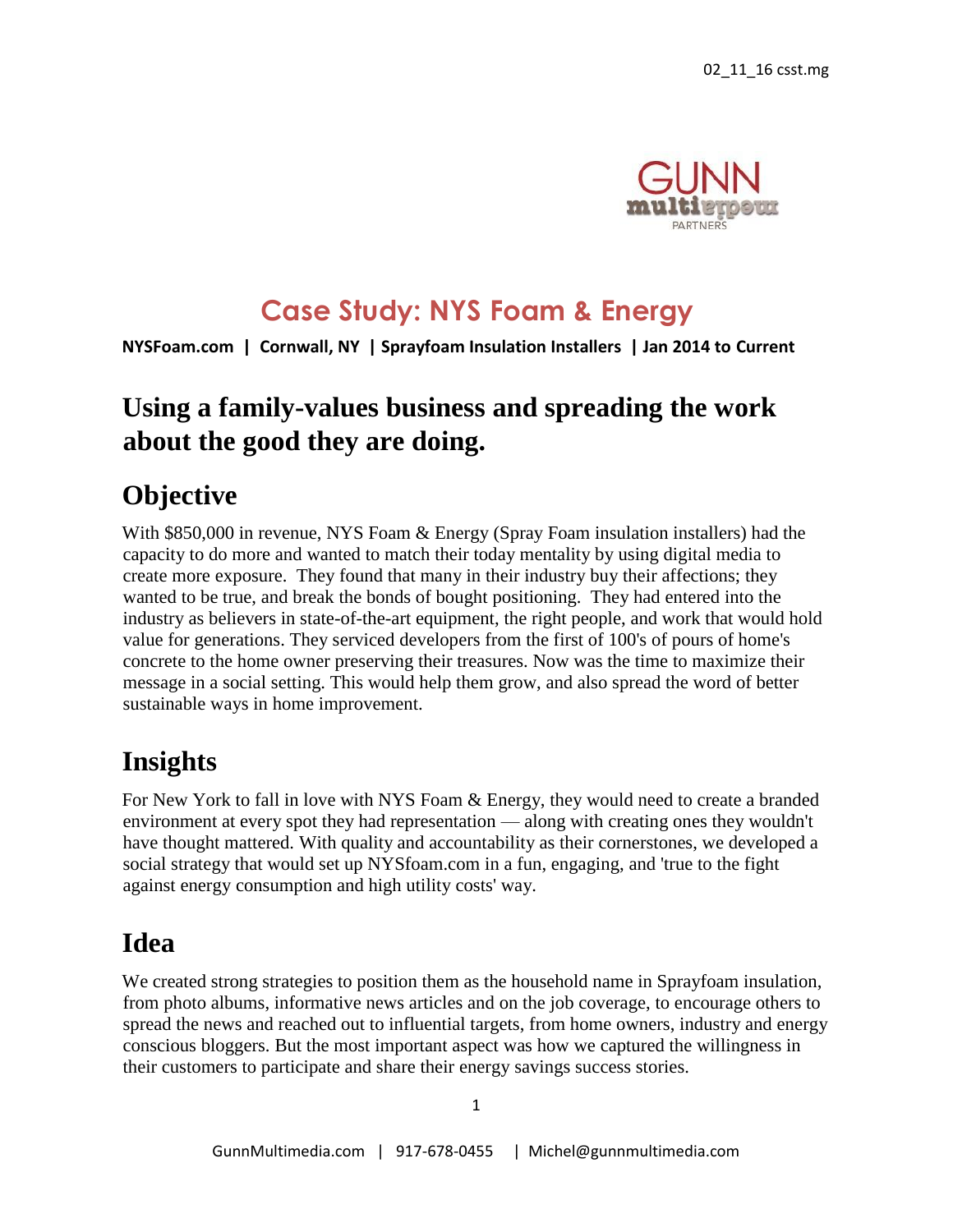

### **Case Study: NYS Foam & Energy**

**NYSFoam.com | Cornwall, NY | Sprayfoam Insulation Installers | Jan 2014 to Current**

### **Using a family-values business and spreading the work about the good they are doing.**

### **Objective**

With \$850,000 in revenue, NYS Foam & Energy (Spray Foam insulation installers) had the capacity to do more and wanted to match their today mentality by using digital media to create more exposure. They found that many in their industry buy their affections; they wanted to be true, and break the bonds of bought positioning. They had entered into the industry as believers in state-of-the-art equipment, the right people, and work that would hold value for generations. They serviced developers from the first of 100's of pours of home's concrete to the home owner preserving their treasures. Now was the time to maximize their message in a social setting. This would help them grow, and also spread the word of better sustainable ways in home improvement.

## **Insights**

For New York to fall in love with NYS Foam & Energy, they would need to create a branded environment at every spot they had representation — along with creating ones they wouldn't have thought mattered. With quality and accountability as their cornerstones, we developed a social strategy that would set up NYSfoam.com in a fun, engaging, and 'true to the fight against energy consumption and high utility costs' way.

## **Idea**

We created strong strategies to position them as the household name in Sprayfoam insulation, from photo albums, informative news articles and on the job coverage, to encourage others to spread the news and reached out to influential targets, from home owners, industry and energy conscious bloggers. But the most important aspect was how we captured the willingness in their customers to participate and share their energy savings success stories.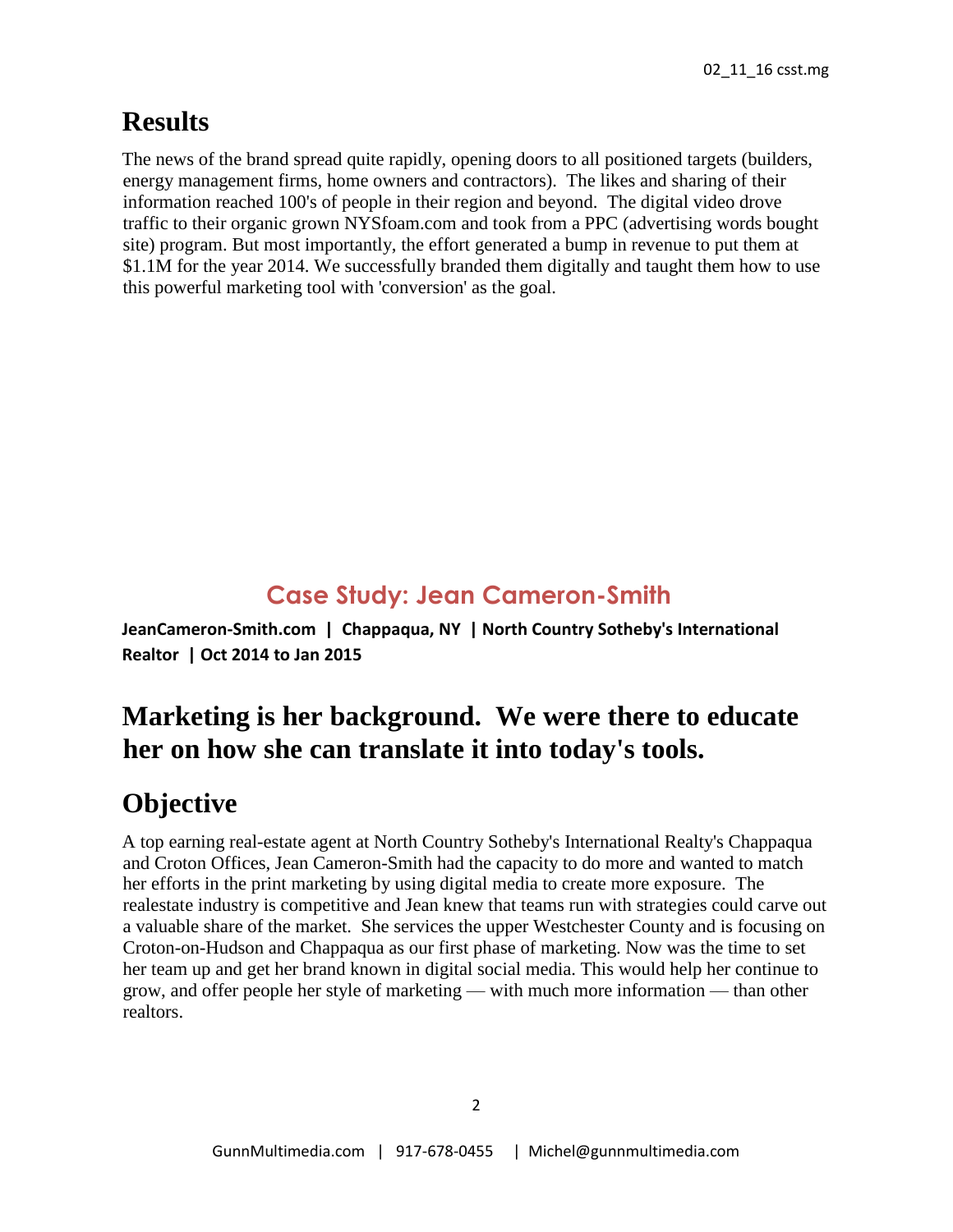## **Results**

The news of the brand spread quite rapidly, opening doors to all positioned targets (builders, energy management firms, home owners and contractors). The likes and sharing of their information reached 100's of people in their region and beyond. The digital video drove traffic to their organic grown NYSfoam.com and took from a PPC (advertising words bought site) program. But most importantly, the effort generated a bump in revenue to put them at \$1.1M for the year 2014. We successfully branded them digitally and taught them how to use this powerful marketing tool with 'conversion' as the goal.

# **Case Study: Jean Cameron-Smith**

**JeanCameron-Smith.com | Chappaqua, NY | North Country Sotheby's International Realtor | Oct 2014 to Jan 2015** 

# **Marketing is her background. We were there to educate her on how she can translate it into today's tools.**

# **Objective**

A top earning real-estate agent at North Country Sotheby's International Realty's Chappaqua and Croton Offices, Jean Cameron-Smith had the capacity to do more and wanted to match her efforts in the print marketing by using digital media to create more exposure. The realestate industry is competitive and Jean knew that teams run with strategies could carve out a valuable share of the market. She services the upper Westchester County and is focusing on Croton-on-Hudson and Chappaqua as our first phase of marketing. Now was the time to set her team up and get her brand known in digital social media. This would help her continue to grow, and offer people her style of marketing — with much more information — than other realtors.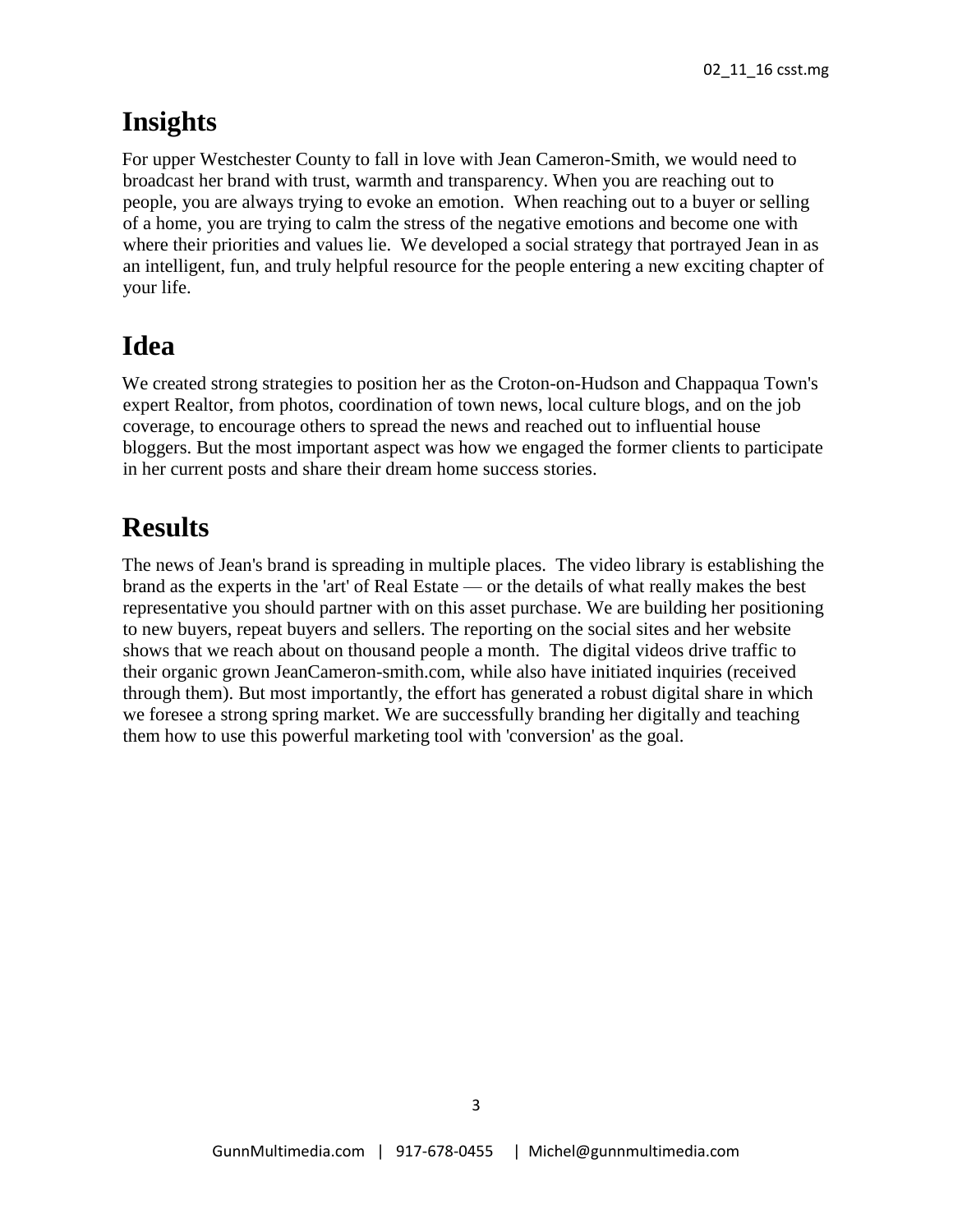### **Insights**

For upper Westchester County to fall in love with Jean Cameron-Smith, we would need to broadcast her brand with trust, warmth and transparency. When you are reaching out to people, you are always trying to evoke an emotion. When reaching out to a buyer or selling of a home, you are trying to calm the stress of the negative emotions and become one with where their priorities and values lie. We developed a social strategy that portrayed Jean in as an intelligent, fun, and truly helpful resource for the people entering a new exciting chapter of your life.

## **Idea**

We created strong strategies to position her as the Croton-on-Hudson and Chappaqua Town's expert Realtor, from photos, coordination of town news, local culture blogs, and on the job coverage, to encourage others to spread the news and reached out to influential house bloggers. But the most important aspect was how we engaged the former clients to participate in her current posts and share their dream home success stories.

## **Results**

The news of Jean's brand is spreading in multiple places. The video library is establishing the brand as the experts in the 'art' of Real Estate — or the details of what really makes the best representative you should partner with on this asset purchase. We are building her positioning to new buyers, repeat buyers and sellers. The reporting on the social sites and her website shows that we reach about on thousand people a month. The digital videos drive traffic to their organic grown JeanCameron-smith.com, while also have initiated inquiries (received through them). But most importantly, the effort has generated a robust digital share in which we foresee a strong spring market. We are successfully branding her digitally and teaching them how to use this powerful marketing tool with 'conversion' as the goal.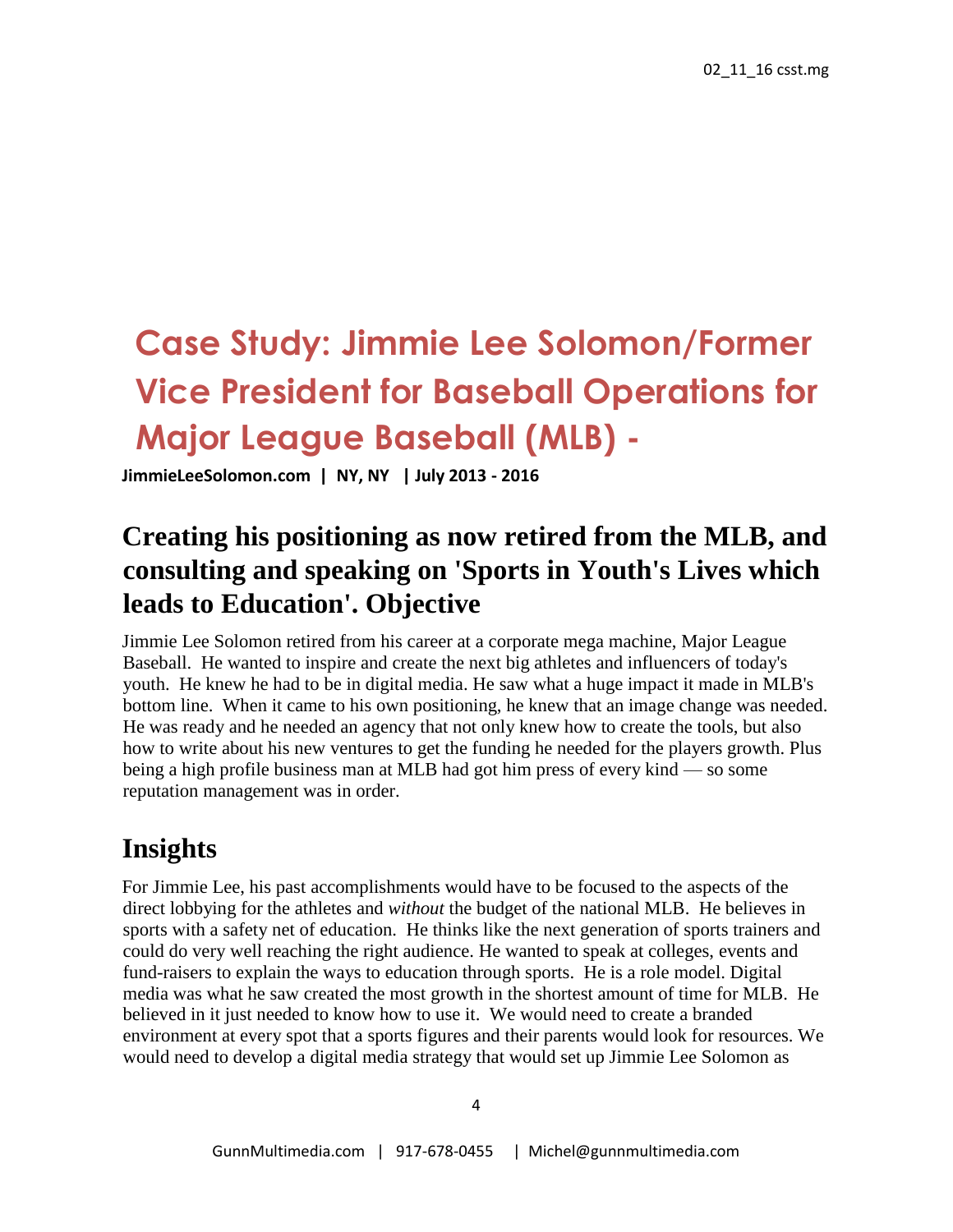# **Case Study: Jimmie Lee Solomon/Former Vice President for Baseball Operations for Major League Baseball (MLB) -**

**JimmieLeeSolomon.com | NY, NY | July 2013 - 2016**

## **Creating his positioning as now retired from the MLB, and consulting and speaking on 'Sports in Youth's Lives which leads to Education'. Objective**

Jimmie Lee Solomon retired from his career at a corporate mega machine, Major League Baseball. He wanted to inspire and create the next big athletes and influencers of today's youth. He knew he had to be in digital media. He saw what a huge impact it made in MLB's bottom line. When it came to his own positioning, he knew that an image change was needed. He was ready and he needed an agency that not only knew how to create the tools, but also how to write about his new ventures to get the funding he needed for the players growth. Plus being a high profile business man at MLB had got him press of every kind — so some reputation management was in order.

### **Insights**

For Jimmie Lee, his past accomplishments would have to be focused to the aspects of the direct lobbying for the athletes and *without* the budget of the national MLB. He believes in sports with a safety net of education. He thinks like the next generation of sports trainers and could do very well reaching the right audience. He wanted to speak at colleges, events and fund-raisers to explain the ways to education through sports. He is a role model. Digital media was what he saw created the most growth in the shortest amount of time for MLB. He believed in it just needed to know how to use it. We would need to create a branded environment at every spot that a sports figures and their parents would look for resources. We would need to develop a digital media strategy that would set up Jimmie Lee Solomon as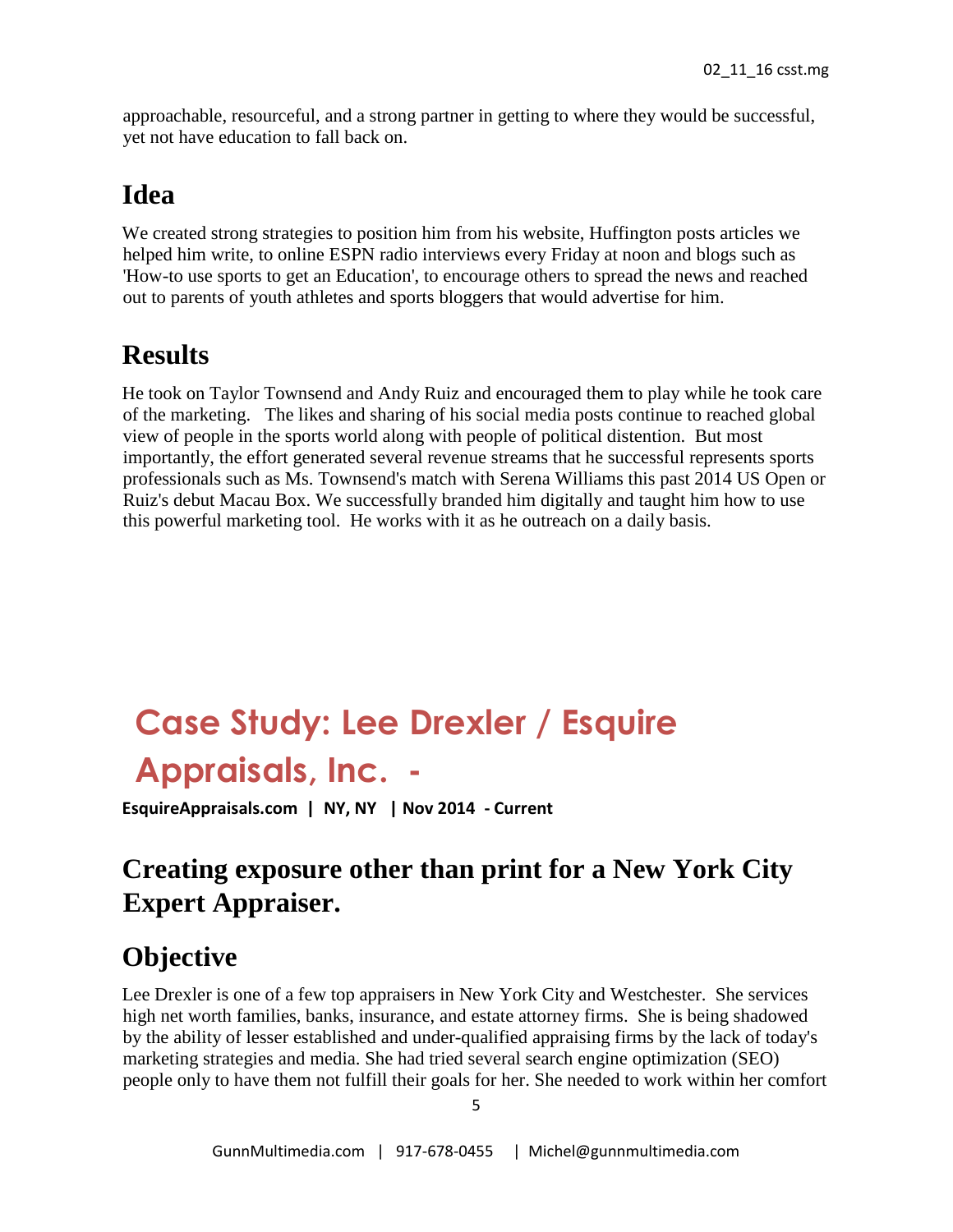approachable, resourceful, and a strong partner in getting to where they would be successful, yet not have education to fall back on.

#### **Idea**

We created strong strategies to position him from his website, Huffington posts articles we helped him write, to online ESPN radio interviews every Friday at noon and blogs such as 'How-to use sports to get an Education', to encourage others to spread the news and reached out to parents of youth athletes and sports bloggers that would advertise for him.

### **Results**

He took on Taylor Townsend and Andy Ruiz and encouraged them to play while he took care of the marketing. The likes and sharing of his social media posts continue to reached global view of people in the sports world along with people of political distention. But most importantly, the effort generated several revenue streams that he successful represents sports professionals such as Ms. Townsend's match with Serena Williams this past 2014 US Open or Ruiz's debut Macau Box. We successfully branded him digitally and taught him how to use this powerful marketing tool. He works with it as he outreach on a daily basis.

# **Case Study: Lee Drexler / Esquire Appraisals, Inc. -**

**EsquireAppraisals.com | NY, NY | Nov 2014 - Current**

# **Creating exposure other than print for a New York City Expert Appraiser.**

### **Objective**

Lee Drexler is one of a few top appraisers in New York City and Westchester. She services high net worth families, banks, insurance, and estate attorney firms. She is being shadowed by the ability of lesser established and under-qualified appraising firms by the lack of today's marketing strategies and media. She had tried several search engine optimization (SEO) people only to have them not fulfill their goals for her. She needed to work within her comfort

5